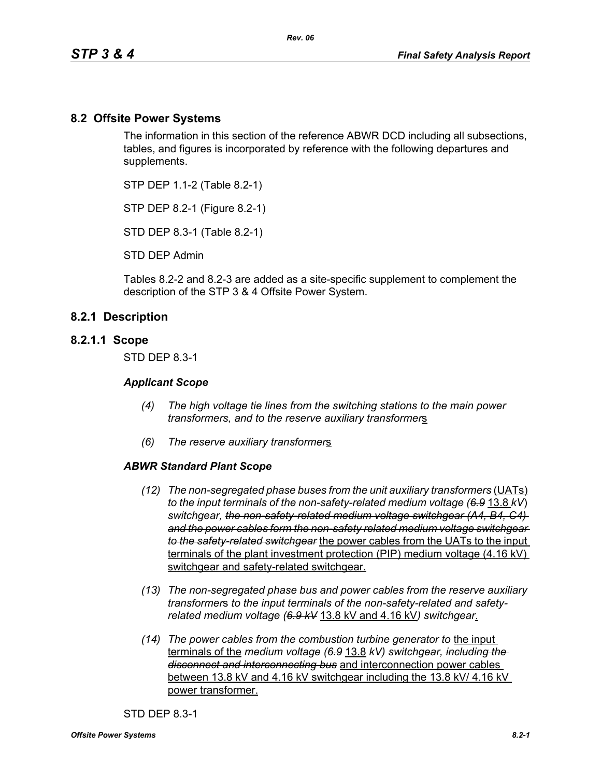### **8.2 Offsite Power Systems**

The information in this section of the reference ABWR DCD including all subsections, tables, and figures is incorporated by reference with the following departures and supplements.

STP DEP 1.1-2 (Table 8.2-1)

STP DEP 8.2-1 (Figure 8.2-1)

STD DEP 8.3-1 (Table 8.2-1)

STD DEP Admin

Tables 8.2-2 and 8.2-3 are added as a site-specific supplement to complement the description of the STP 3 & 4 Offsite Power System.

### **8.2.1 Description**

#### **8.2.1.1 Scope**

STD DEP 8.3-1

#### *Applicant Scope*

- *(4) The high voltage tie lines from the switching stations to the main power transformers, and to the reserve auxiliary transformer*s
- *(6) The reserve auxiliary transformer*s

#### *ABWR Standard Plant Scope*

- *(12) The non-segregated phase buses from the unit auxiliary transformers (UATs) to the input terminals of the non-safety-related medium voltage (6.9* 13.8 *kV*) *switchgear, the non-safety-related medium voltage switchgear (A4, B4, C4) and the power cables form the non-safety related medium voltage switchgear to the safety-related switchgear* the power cables from the UATs to the input terminals of the plant investment protection (PIP) medium voltage (4.16 kV) switchgear and safety-related switchgear.
- *(13) The non-segregated phase bus and power cables from the reserve auxiliary transformer*s *to the input terminals of the non-safety-related and safetyrelated medium voltage (6.9 kV* 13.8 kV and 4.16 kV*) switchgear*.
- *(14) The power cables from the combustion turbine generator to* the input terminals of the *medium voltage (6.9* 13.8 *kV) switchgear, including the disconnect and interconnecting bus* and interconnection power cables between 13.8 kV and 4.16 kV switchgear including the 13.8 kV/ 4.16 kV power transformer.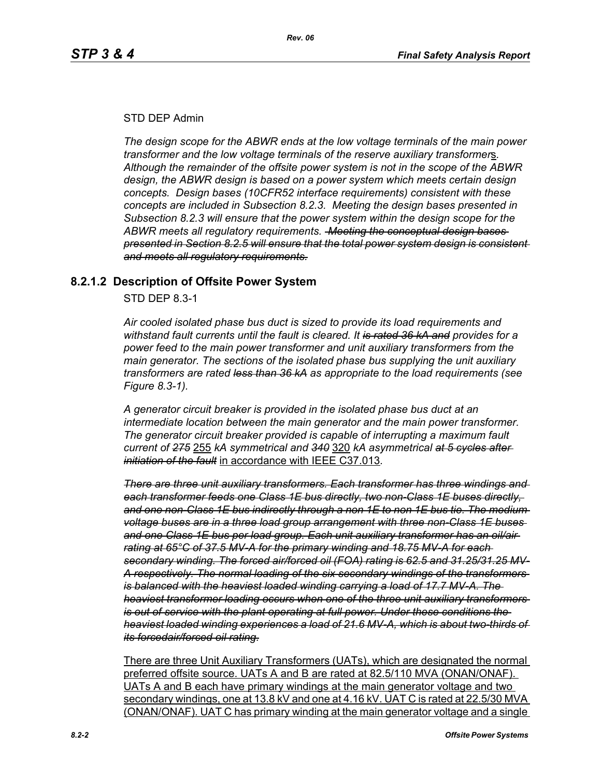### STD DEP Admin

*The design scope for the ABWR ends at the low voltage terminals of the main power transformer and the low voltage terminals of the reserve auxiliary transformer*s*. Although the remainder of the offsite power system is not in the scope of the ABWR design, the ABWR design is based on a power system which meets certain design concepts. Design bases (10CFR52 interface requirements) consistent with these concepts are included in Subsection 8.2.3. Meeting the design bases presented in Subsection 8.2.3 will ensure that the power system within the design scope for the ABWR meets all regulatory requirements. Meeting the conceptual design bases presented in Section 8.2.5 will ensure that the total power system design is consistent and meets all regulatory requirements.*

## **8.2.1.2 Description of Offsite Power System**

STD DEP 8.3-1

*Air cooled isolated phase bus duct is sized to provide its load requirements and withstand fault currents until the fault is cleared. It is rated 36 kA and provides for a power feed to the main power transformer and unit auxiliary transformers from the main generator. The sections of the isolated phase bus supplying the unit auxiliary transformers are rated less than 36 kA as appropriate to the load requirements (see Figure 8.3-1).* 

*A generator circuit breaker is provided in the isolated phase bus duct at an intermediate location between the main generator and the main power transformer. The generator circuit breaker provided is capable of interrupting a maximum fault current of 275* 255 *kA symmetrical and 340* 320 *kA asymmetrical at 5 cycles after initiation of the fault* in accordance with IEEE C37.013*.*

*There are three unit auxiliary transformers. Each transformer has three windings and each transformer feeds one Class 1E bus directly, two non-Class 1E buses directly, and one non-Class 1E bus indirectly through a non 1E to non 1E bus tie. The medium voltage buses are in a three load group arrangement with three non-Class 1E buses and one Class 1E bus per load group. Each unit auxiliary transformer has an oil/air rating at 65°C of 37.5 MV-A for the primary winding and 18.75 MV-A for each secondary winding. The forced air/forced oil (FOA) rating is 62.5 and 31.25/31.25 MV-A respectively. The normal loading of the six secondary windings of the transformers is balanced with the heaviest loaded winding carrying a load of 17.7 MV-A. The heaviest transformer loading occurs when one of the three unit auxiliary transformers is out of service with the plant operating at full power. Under these conditions the heaviest loaded winding experiences a load of 21.6 MV-A, which is about two-thirds of its forcedair/forced oil rating.*

There are three Unit Auxiliary Transformers (UATs), which are designated the normal preferred offsite source. UATs A and B are rated at 82.5/110 MVA (ONAN/ONAF). UATs A and B each have primary windings at the main generator voltage and two secondary windings, one at 13.8 kV and one at 4.16 kV. UAT C is rated at 22.5/30 MVA (ONAN/ONAF). UAT C has primary winding at the main generator voltage and a single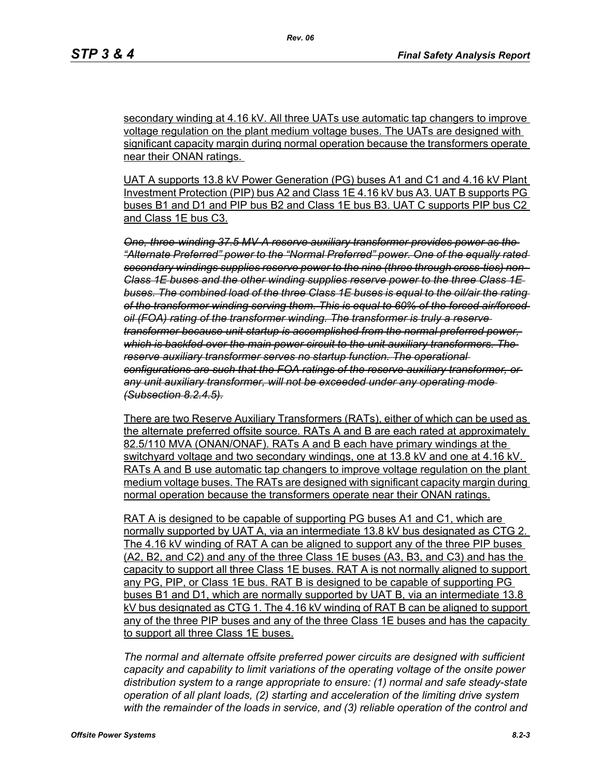secondary winding at 4.16 kV. All three UATs use automatic tap changers to improve voltage regulation on the plant medium voltage buses. The UATs are designed with significant capacity margin during normal operation because the transformers operate near their ONAN ratings.

UAT A supports 13.8 kV Power Generation (PG) buses A1 and C1 and 4.16 kV Plant Investment Protection (PIP) bus A2 and Class 1E 4.16 kV bus A3. UAT B supports PG buses B1 and D1 and PIP bus B2 and Class 1E bus B3. UAT C supports PIP bus C2 and Class 1E bus C3.

*One, three-winding 37.5 MV-A reserve auxiliary transformer provides power as the "Alternate Preferred" power to the "Normal Preferred" power. One of the equally rated secondary windings supplies reserve power to the nine (three through cross-ties) non-Class 1E buses and the other winding supplies reserve power to the three Class 1E buses. The combined load of the three Class 1E buses is equal to the oil/air the rating of the transformer winding serving them. This is equal to 60% of the forced air/forced oil (FOA) rating of the transformer winding. The transformer is truly a reserve transformer because unit startup is accomplished from the normal preferred power, which is backfed over the main power circuit to the unit auxiliary transformers. The reserve auxiliary transformer serves no startup function. The operational configurations are such that the FOA ratings of the reserve auxiliary transformer, or any unit auxiliary transformer, will not be exceeded under any operating mode (Subsection 8.2.4.5).*

There are two Reserve Auxiliary Transformers (RATs), either of which can be used as the alternate preferred offsite source. RATs A and B are each rated at approximately 82.5/110 MVA (ONAN/ONAF). RATs A and B each have primary windings at the switchyard voltage and two secondary windings, one at 13.8 kV and one at 4.16 kV. RATs A and B use automatic tap changers to improve voltage regulation on the plant medium voltage buses. The RATs are designed with significant capacity margin during normal operation because the transformers operate near their ONAN ratings.

RAT A is designed to be capable of supporting PG buses A1 and C1, which are normally supported by UAT A, via an intermediate 13.8 kV bus designated as CTG 2. The 4.16 kV winding of RAT A can be aligned to support any of the three PIP buses (A2, B2, and C2) and any of the three Class 1E buses (A3, B3, and C3) and has the capacity to support all three Class 1E buses. RAT A is not normally aligned to support any PG, PIP, or Class 1E bus. RAT B is designed to be capable of supporting PG buses B1 and D1, which are normally supported by UAT B, via an intermediate 13.8 kV bus designated as CTG 1. The 4.16 kV winding of RAT B can be aligned to support any of the three PIP buses and any of the three Class 1E buses and has the capacity to support all three Class 1E buses.

*The normal and alternate offsite preferred power circuits are designed with sufficient capacity and capability to limit variations of the operating voltage of the onsite power distribution system to a range appropriate to ensure: (1) normal and safe steady-state operation of all plant loads, (2) starting and acceleration of the limiting drive system with the remainder of the loads in service, and (3) reliable operation of the control and*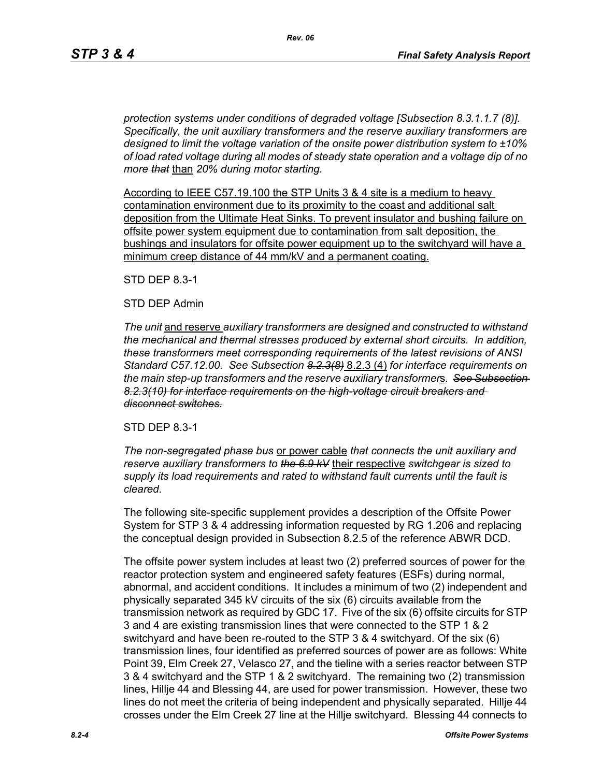*protection systems under conditions of degraded voltage [Subsection 8.3.1.1.7 (8)]. Specifically, the unit auxiliary transformers and the reserve auxiliary transformer*s *are designed to limit the voltage variation of the onsite power distribution system to ±10% of load rated voltage during all modes of steady state operation and a voltage dip of no more that* than *20% during motor starting.*

According to IEEE C57.19.100 the STP Units 3 & 4 site is a medium to heavy contamination environment due to its proximity to the coast and additional salt deposition from the Ultimate Heat Sinks. To prevent insulator and bushing failure on offsite power system equipment due to contamination from salt deposition, the bushings and insulators for offsite power equipment up to the switchyard will have a minimum creep distance of 44 mm/kV and a permanent coating.

STD DEP 8.3-1

### STD DEP Admin

*The unit* and reserve *auxiliary transformers are designed and constructed to withstand the mechanical and thermal stresses produced by external short circuits. In addition, these transformers meet corresponding requirements of the latest revisions of ANSI Standard C57.12.00. See Subsection 8.2.3(8)* 8.2.3 (4) *for interface requirements on the main step-up transformers and the reserve auxiliary transformer*s*. See Subsection 8.2.3(10) for interface requirements on the high-voltage circuit breakers and disconnect switches.*

STD DEP 8.3-1

*The non-segregated phase bus* or power cable *that connects the unit auxiliary and reserve auxiliary transformers to the 6.9 kV* their respective *switchgear is sized to supply its load requirements and rated to withstand fault currents until the fault is cleared.*

The following site-specific supplement provides a description of the Offsite Power System for STP 3 & 4 addressing information requested by RG 1.206 and replacing the conceptual design provided in Subsection 8.2.5 of the reference ABWR DCD.

The offsite power system includes at least two (2) preferred sources of power for the reactor protection system and engineered safety features (ESFs) during normal, abnormal, and accident conditions. It includes a minimum of two (2) independent and physically separated 345 kV circuits of the six (6) circuits available from the transmission network as required by GDC 17. Five of the six (6) offsite circuits for STP 3 and 4 are existing transmission lines that were connected to the STP 1 & 2 switchyard and have been re-routed to the STP 3 & 4 switchyard. Of the six (6) transmission lines, four identified as preferred sources of power are as follows: White Point 39, Elm Creek 27, Velasco 27, and the tieline with a series reactor between STP 3 & 4 switchyard and the STP 1 & 2 switchyard. The remaining two (2) transmission lines, Hillje 44 and Blessing 44, are used for power transmission. However, these two lines do not meet the criteria of being independent and physically separated. Hillje 44 crosses under the Elm Creek 27 line at the Hillje switchyard. Blessing 44 connects to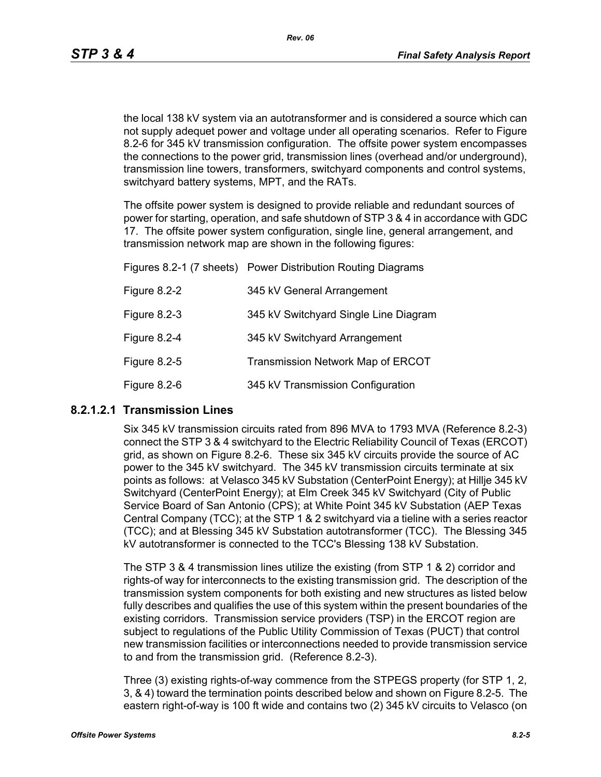the local 138 kV system via an autotransformer and is considered a source which can not supply adequet power and voltage under all operating scenarios. Refer to Figure 8.2-6 for 345 kV transmission configuration. The offsite power system encompasses the connections to the power grid, transmission lines (overhead and/or underground), transmission line towers, transformers, switchyard components and control systems, switchyard battery systems, MPT, and the RATs.

The offsite power system is designed to provide reliable and redundant sources of power for starting, operation, and safe shutdown of STP 3 & 4 in accordance with GDC 17. The offsite power system configuration, single line, general arrangement, and transmission network map are shown in the following figures:

|              | Figures 8.2-1 (7 sheets) Power Distribution Routing Diagrams |
|--------------|--------------------------------------------------------------|
| Figure 8.2-2 | 345 kV General Arrangement                                   |
| Figure 8.2-3 | 345 kV Switchyard Single Line Diagram                        |
| Figure 8.2-4 | 345 kV Switchyard Arrangement                                |
| Figure 8.2-5 | <b>Transmission Network Map of ERCOT</b>                     |
| Figure 8.2-6 | 345 kV Transmission Configuration                            |

### **8.2.1.2.1 Transmission Lines**

Six 345 kV transmission circuits rated from 896 MVA to 1793 MVA (Reference 8.2-3) connect the STP 3 & 4 switchyard to the Electric Reliability Council of Texas (ERCOT) grid, as shown on Figure 8.2-6. These six 345 kV circuits provide the source of AC power to the 345 kV switchyard. The 345 kV transmission circuits terminate at six points as follows: at Velasco 345 kV Substation (CenterPoint Energy); at Hillje 345 kV Switchyard (CenterPoint Energy); at Elm Creek 345 kV Switchyard (City of Public Service Board of San Antonio (CPS); at White Point 345 kV Substation (AEP Texas Central Company (TCC); at the STP 1 & 2 switchyard via a tieline with a series reactor (TCC); and at Blessing 345 kV Substation autotransformer (TCC). The Blessing 345 kV autotransformer is connected to the TCC's Blessing 138 kV Substation.

The STP 3 & 4 transmission lines utilize the existing (from STP 1 & 2) corridor and rights-of way for interconnects to the existing transmission grid. The description of the transmission system components for both existing and new structures as listed below fully describes and qualifies the use of this system within the present boundaries of the existing corridors. Transmission service providers (TSP) in the ERCOT region are subject to regulations of the Public Utility Commission of Texas (PUCT) that control new transmission facilities or interconnections needed to provide transmission service to and from the transmission grid. (Reference 8.2-3).

Three (3) existing rights-of-way commence from the STPEGS property (for STP 1, 2, 3, & 4) toward the termination points described below and shown on Figure 8.2-5. The eastern right-of-way is 100 ft wide and contains two (2) 345 kV circuits to Velasco (on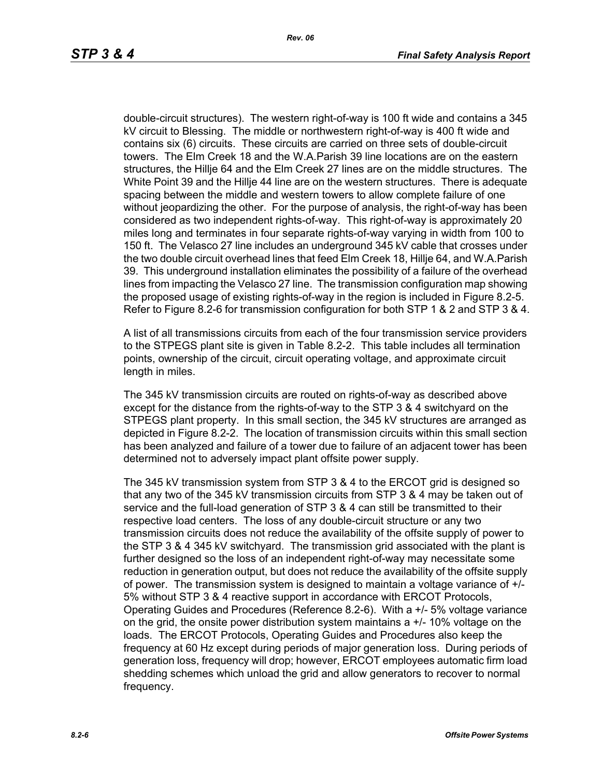double-circuit structures). The western right-of-way is 100 ft wide and contains a 345 kV circuit to Blessing. The middle or northwestern right-of-way is 400 ft wide and contains six (6) circuits. These circuits are carried on three sets of double-circuit towers. The Elm Creek 18 and the W.A.Parish 39 line locations are on the eastern structures, the Hillje 64 and the Elm Creek 27 lines are on the middle structures. The White Point 39 and the Hillje 44 line are on the western structures. There is adequate spacing between the middle and western towers to allow complete failure of one without jeopardizing the other. For the purpose of analysis, the right-of-way has been considered as two independent rights-of-way. This right-of-way is approximately 20 miles long and terminates in four separate rights-of-way varying in width from 100 to 150 ft. The Velasco 27 line includes an underground 345 kV cable that crosses under the two double circuit overhead lines that feed Elm Creek 18, Hillje 64, and W.A.Parish 39. This underground installation eliminates the possibility of a failure of the overhead lines from impacting the Velasco 27 line. The transmission configuration map showing the proposed usage of existing rights-of-way in the region is included in Figure 8.2-5. Refer to Figure 8.2-6 for transmission configuration for both STP 1 & 2 and STP 3 & 4.

A list of all transmissions circuits from each of the four transmission service providers to the STPEGS plant site is given in Table 8.2-2. This table includes all termination points, ownership of the circuit, circuit operating voltage, and approximate circuit length in miles.

The 345 kV transmission circuits are routed on rights-of-way as described above except for the distance from the rights-of-way to the STP 3 & 4 switchyard on the STPEGS plant property. In this small section, the 345 kV structures are arranged as depicted in Figure 8.2-2. The location of transmission circuits within this small section has been analyzed and failure of a tower due to failure of an adjacent tower has been determined not to adversely impact plant offsite power supply.

The 345 kV transmission system from STP 3 & 4 to the ERCOT grid is designed so that any two of the 345 kV transmission circuits from STP 3 & 4 may be taken out of service and the full-load generation of STP 3 & 4 can still be transmitted to their respective load centers. The loss of any double-circuit structure or any two transmission circuits does not reduce the availability of the offsite supply of power to the STP 3 & 4 345 kV switchyard. The transmission grid associated with the plant is further designed so the loss of an independent right-of-way may necessitate some reduction in generation output, but does not reduce the availability of the offsite supply of power. The transmission system is designed to maintain a voltage variance of +/- 5% without STP 3 & 4 reactive support in accordance with ERCOT Protocols, Operating Guides and Procedures (Reference 8.2-6). With a +/- 5% voltage variance on the grid, the onsite power distribution system maintains a +/- 10% voltage on the loads. The ERCOT Protocols, Operating Guides and Procedures also keep the frequency at 60 Hz except during periods of major generation loss. During periods of generation loss, frequency will drop; however, ERCOT employees automatic firm load shedding schemes which unload the grid and allow generators to recover to normal frequency.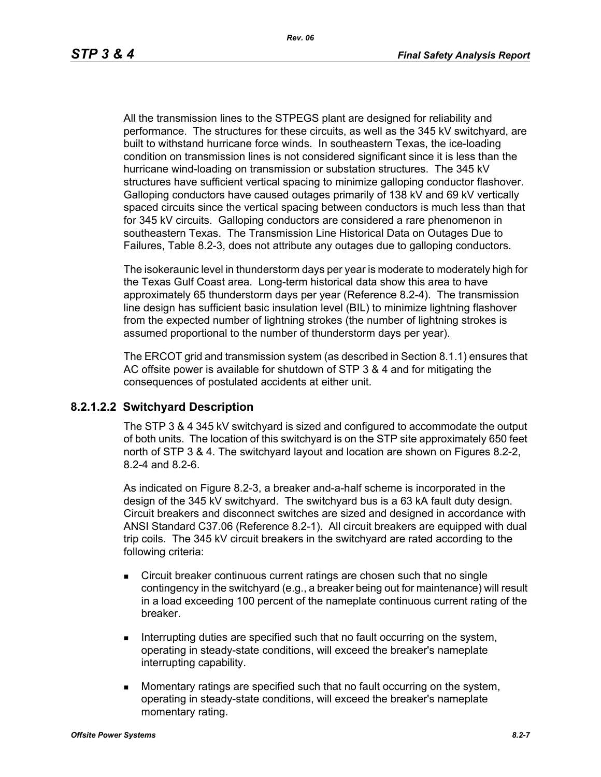All the transmission lines to the STPEGS plant are designed for reliability and performance. The structures for these circuits, as well as the 345 kV switchyard, are built to withstand hurricane force winds. In southeastern Texas, the ice-loading condition on transmission lines is not considered significant since it is less than the hurricane wind-loading on transmission or substation structures. The 345 kV structures have sufficient vertical spacing to minimize galloping conductor flashover. Galloping conductors have caused outages primarily of 138 kV and 69 kV vertically spaced circuits since the vertical spacing between conductors is much less than that for 345 kV circuits. Galloping conductors are considered a rare phenomenon in southeastern Texas. The Transmission Line Historical Data on Outages Due to Failures, Table 8.2-3, does not attribute any outages due to galloping conductors.

The isokeraunic level in thunderstorm days per year is moderate to moderately high for the Texas Gulf Coast area. Long-term historical data show this area to have approximately 65 thunderstorm days per year (Reference 8.2-4). The transmission line design has sufficient basic insulation level (BIL) to minimize lightning flashover from the expected number of lightning strokes (the number of lightning strokes is assumed proportional to the number of thunderstorm days per year).

The ERCOT grid and transmission system (as described in Section 8.1.1) ensures that AC offsite power is available for shutdown of STP 3 & 4 and for mitigating the consequences of postulated accidents at either unit.

### **8.2.1.2.2 Switchyard Description**

The STP 3 & 4 345 kV switchyard is sized and configured to accommodate the output of both units. The location of this switchyard is on the STP site approximately 650 feet north of STP 3 & 4. The switchyard layout and location are shown on Figures 8.2-2, 8.2-4 and 8.2-6.

As indicated on Figure 8.2-3, a breaker and-a-half scheme is incorporated in the design of the 345 kV switchyard. The switchyard bus is a 63 kA fault duty design. Circuit breakers and disconnect switches are sized and designed in accordance with ANSI Standard C37.06 (Reference 8.2-1). All circuit breakers are equipped with dual trip coils. The 345 kV circuit breakers in the switchyard are rated according to the following criteria:

- Circuit breaker continuous current ratings are chosen such that no single contingency in the switchyard (e.g., a breaker being out for maintenance) will result in a load exceeding 100 percent of the nameplate continuous current rating of the breaker.
- Interrupting duties are specified such that no fault occurring on the system, operating in steady-state conditions, will exceed the breaker's nameplate interrupting capability.
- **Momentary ratings are specified such that no fault occurring on the system,** operating in steady-state conditions, will exceed the breaker's nameplate momentary rating.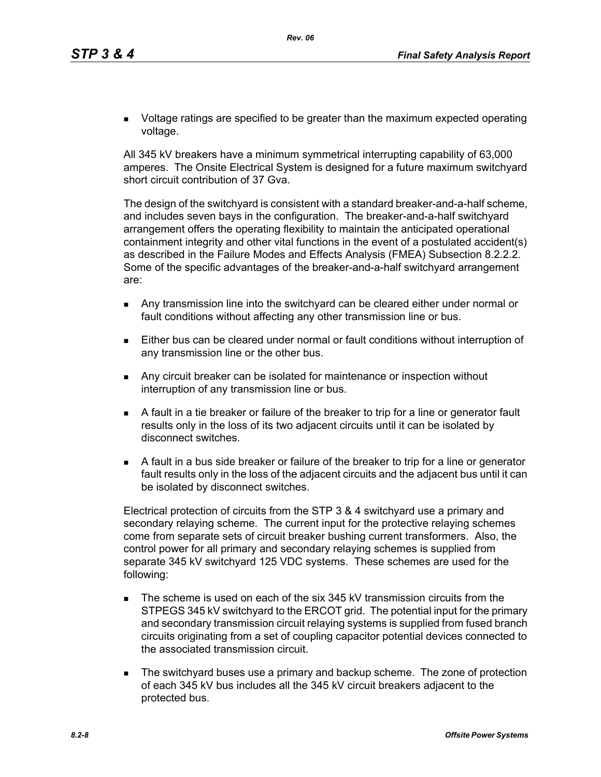**DED** Voltage ratings are specified to be greater than the maximum expected operating voltage.

All 345 kV breakers have a minimum symmetrical interrupting capability of 63,000 amperes. The Onsite Electrical System is designed for a future maximum switchyard short circuit contribution of 37 Gva.

The design of the switchyard is consistent with a standard breaker-and-a-half scheme, and includes seven bays in the configuration. The breaker-and-a-half switchyard arrangement offers the operating flexibility to maintain the anticipated operational containment integrity and other vital functions in the event of a postulated accident(s) as described in the Failure Modes and Effects Analysis (FMEA) Subsection 8.2.2.2. Some of the specific advantages of the breaker-and-a-half switchyard arrangement are:

- Any transmission line into the switchyard can be cleared either under normal or fault conditions without affecting any other transmission line or bus.
- Either bus can be cleared under normal or fault conditions without interruption of any transmission line or the other bus.
- **Any circuit breaker can be isolated for maintenance or inspection without** interruption of any transmission line or bus.
- A fault in a tie breaker or failure of the breaker to trip for a line or generator fault results only in the loss of its two adjacent circuits until it can be isolated by disconnect switches.
- A fault in a bus side breaker or failure of the breaker to trip for a line or generator fault results only in the loss of the adjacent circuits and the adjacent bus until it can be isolated by disconnect switches.

Electrical protection of circuits from the STP 3 & 4 switchyard use a primary and secondary relaying scheme. The current input for the protective relaying schemes come from separate sets of circuit breaker bushing current transformers. Also, the control power for all primary and secondary relaying schemes is supplied from separate 345 kV switchyard 125 VDC systems. These schemes are used for the following:

- The scheme is used on each of the six 345 kV transmission circuits from the STPEGS 345 kV switchyard to the ERCOT grid. The potential input for the primary and secondary transmission circuit relaying systems is supplied from fused branch circuits originating from a set of coupling capacitor potential devices connected to the associated transmission circuit.
- **The switchyard buses use a primary and backup scheme. The zone of protection** of each 345 kV bus includes all the 345 kV circuit breakers adjacent to the protected bus.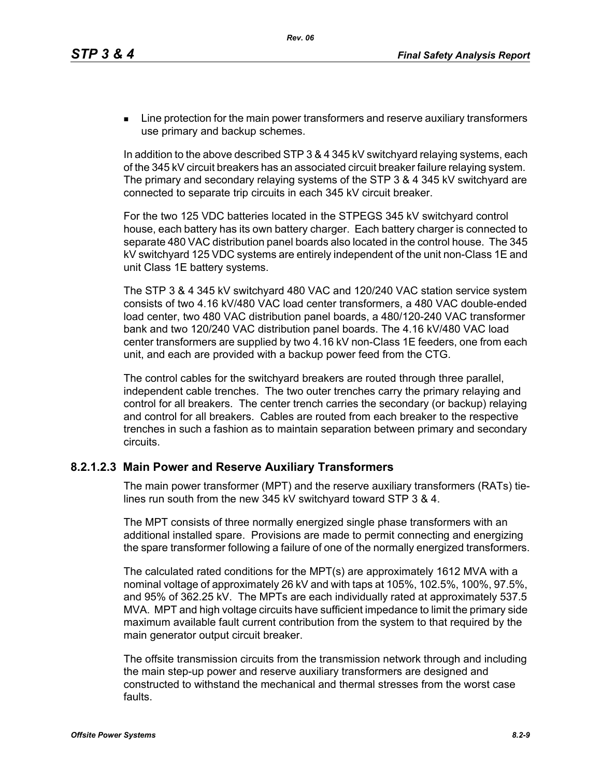**EXECT** Line protection for the main power transformers and reserve auxiliary transformers use primary and backup schemes.

In addition to the above described STP 3 & 4 345 kV switchyard relaying systems, each of the 345 kV circuit breakers has an associated circuit breaker failure relaying system. The primary and secondary relaying systems of the STP 3 & 4 345 kV switchyard are connected to separate trip circuits in each 345 kV circuit breaker.

For the two 125 VDC batteries located in the STPEGS 345 kV switchyard control house, each battery has its own battery charger. Each battery charger is connected to separate 480 VAC distribution panel boards also located in the control house. The 345 kV switchyard 125 VDC systems are entirely independent of the unit non-Class 1E and unit Class 1E battery systems.

The STP 3 & 4 345 kV switchyard 480 VAC and 120/240 VAC station service system consists of two 4.16 kV/480 VAC load center transformers, a 480 VAC double-ended load center, two 480 VAC distribution panel boards, a 480/120-240 VAC transformer bank and two 120/240 VAC distribution panel boards. The 4.16 kV/480 VAC load center transformers are supplied by two 4.16 kV non-Class 1E feeders, one from each unit, and each are provided with a backup power feed from the CTG.

The control cables for the switchyard breakers are routed through three parallel, independent cable trenches. The two outer trenches carry the primary relaying and control for all breakers. The center trench carries the secondary (or backup) relaying and control for all breakers. Cables are routed from each breaker to the respective trenches in such a fashion as to maintain separation between primary and secondary circuits.

## **8.2.1.2.3 Main Power and Reserve Auxiliary Transformers**

The main power transformer (MPT) and the reserve auxiliary transformers (RATs) tielines run south from the new 345 kV switchyard toward STP 3 & 4.

The MPT consists of three normally energized single phase transformers with an additional installed spare. Provisions are made to permit connecting and energizing the spare transformer following a failure of one of the normally energized transformers.

The calculated rated conditions for the MPT(s) are approximately 1612 MVA with a nominal voltage of approximately 26 kV and with taps at 105%, 102.5%, 100%, 97.5%, and 95% of 362.25 kV. The MPTs are each individually rated at approximately 537.5 MVA. MPT and high voltage circuits have sufficient impedance to limit the primary side maximum available fault current contribution from the system to that required by the main generator output circuit breaker.

The offsite transmission circuits from the transmission network through and including the main step-up power and reserve auxiliary transformers are designed and constructed to withstand the mechanical and thermal stresses from the worst case faults.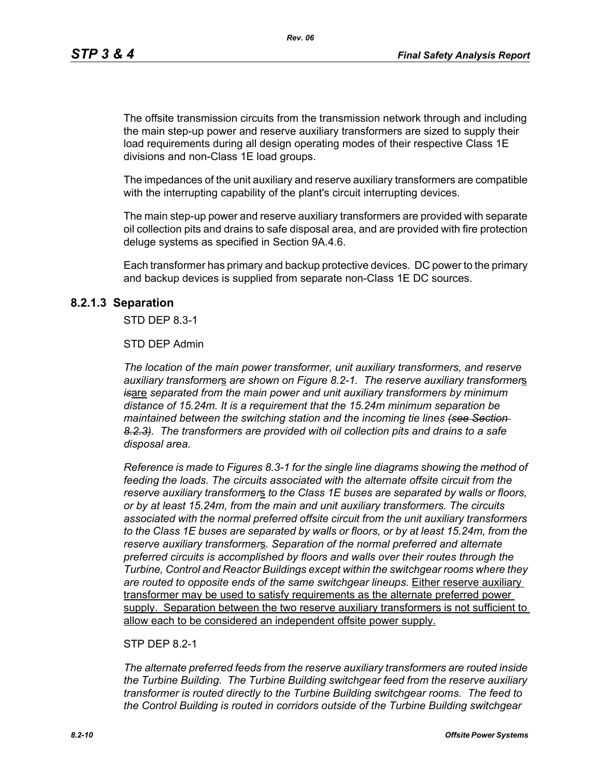The offsite transmission circuits from the transmission network through and including the main step-up power and reserve auxiliary transformers are sized to supply their load requirements during all design operating modes of their respective Class 1E divisions and non-Class 1E load groups.

The impedances of the unit auxiliary and reserve auxiliary transformers are compatible with the interrupting capability of the plant's circuit interrupting devices.

The main step-up power and reserve auxiliary transformers are provided with separate oil collection pits and drains to safe disposal area, and are provided with fire protection deluge systems as specified in Section 9A.4.6.

Each transformer has primary and backup protective devices. DC power to the primary and backup devices is supplied from separate non-Class 1E DC sources.

### **8.2.1.3 Separation**

STD DEP 8.3-1

#### STD DEP Admin

*The location of the main power transformer, unit auxiliary transformers, and reserve auxiliary transformer*s *are shown on Figure 8.2-1. The reserve auxiliary transformer*s *is*are *separated from the main power and unit auxiliary transformers by minimum distance of 15.24m. It is a requirement that the 15.24m minimum separation be maintained between the switching station and the incoming tie lines (see Section 8.2.3). The transformers are provided with oil collection pits and drains to a safe disposal area.*

*Reference is made to Figures 8.3-1 for the single line diagrams showing the method of feeding the loads. The circuits associated with the alternate offsite circuit from the reserve auxiliary transformer*s *to the Class 1E buses are separated by walls or floors, or by at least 15.24m, from the main and unit auxiliary transformers. The circuits associated with the normal preferred offsite circuit from the unit auxiliary transformers to the Class 1E buses are separated by walls or floors, or by at least 15.24m, from the reserve auxiliary transformer*s*. Separation of the normal preferred and alternate preferred circuits is accomplished by floors and walls over their routes through the Turbine, Control and Reactor Buildings except within the switchgear rooms where they are routed to opposite ends of the same switchgear lineups.* Either reserve auxiliary transformer may be used to satisfy requirements as the alternate preferred power supply. Separation between the two reserve auxiliary transformers is not sufficient to allow each to be considered an independent offsite power supply.

#### STP DFP 8 2-1

*The alternate preferred feeds from the reserve auxiliary transformers are routed inside the Turbine Building. The Turbine Building switchgear feed from the reserve auxiliary transformer is routed directly to the Turbine Building switchgear rooms. The feed to the Control Building is routed in corridors outside of the Turbine Building switchgear*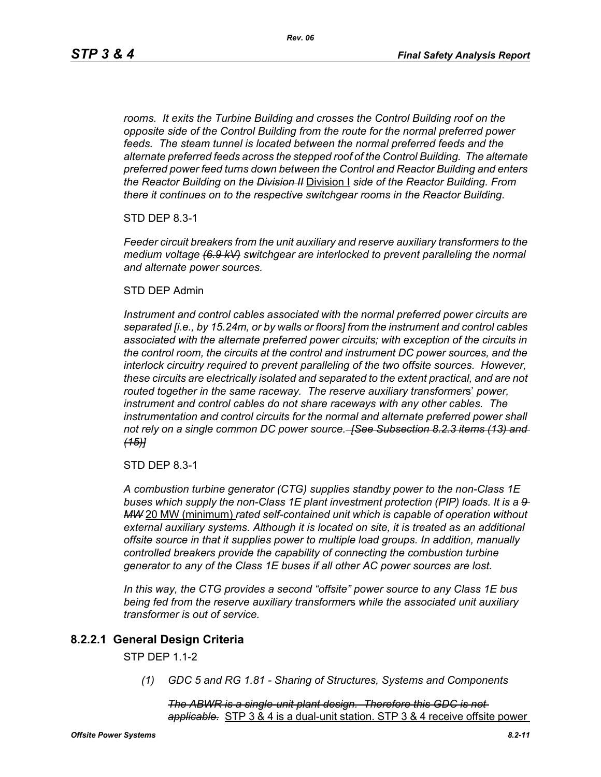*rooms. It exits the Turbine Building and crosses the Control Building roof on the opposite side of the Control Building from the route for the normal preferred power feeds. The steam tunnel is located between the normal preferred feeds and the alternate preferred feeds across the stepped roof of the Control Building. The alternate preferred power feed turns down between the Control and Reactor Building and enters the Reactor Building on the Division II* Division I *side of the Reactor Building. From there it continues on to the respective switchgear rooms in the Reactor Building.*

STD DEP 8.3-1

*Feeder circuit breakers from the unit auxiliary and reserve auxiliary transformers to the medium voltage (6.9 kV) switchgear are interlocked to prevent paralleling the normal and alternate power sources.*

#### STD DEP Admin

*Instrument and control cables associated with the normal preferred power circuits are separated [i.e., by 15.24m, or by walls or floors] from the instrument and control cables associated with the alternate preferred power circuits; with exception of the circuits in the control room, the circuits at the control and instrument DC power sources, and the interlock circuitry required to prevent paralleling of the two offsite sources. However, these circuits are electrically isolated and separated to the extent practical, and are not routed together in the same raceway. The reserve auxiliary transformer*s' *power, instrument and control cables do not share raceways with any other cables. The*  instrumentation and control circuits for the normal and alternate preferred power shall *not rely on a single common DC power source. [See Subsection 8.2.3 items (13) and (15)]*

STD DEP 8.3-1

*A combustion turbine generator (CTG) supplies standby power to the non-Class 1E buses which supply the non-Class 1E plant investment protection (PIP) loads. It is a 9 MW* 20 MW (minimum) *rated self-contained unit which is capable of operation without external auxiliary systems. Although it is located on site, it is treated as an additional offsite source in that it supplies power to multiple load groups. In addition, manually controlled breakers provide the capability of connecting the combustion turbine generator to any of the Class 1E buses if all other AC power sources are lost.*

*In this way, the CTG provides a second "offsite" power source to any Class 1E bus being fed from the reserve auxiliary transformer*s *while the associated unit auxiliary transformer is out of service.*

### **8.2.2.1 General Design Criteria**

STP DEP 1.1-2

*(1) GDC 5 and RG 1.81 - Sharing of Structures, Systems and Components*

*The ABWR is a single-unit plant design. Therefore this GDC is not applicable.* STP 3 & 4 is a dual-unit station. STP 3 & 4 receive offsite power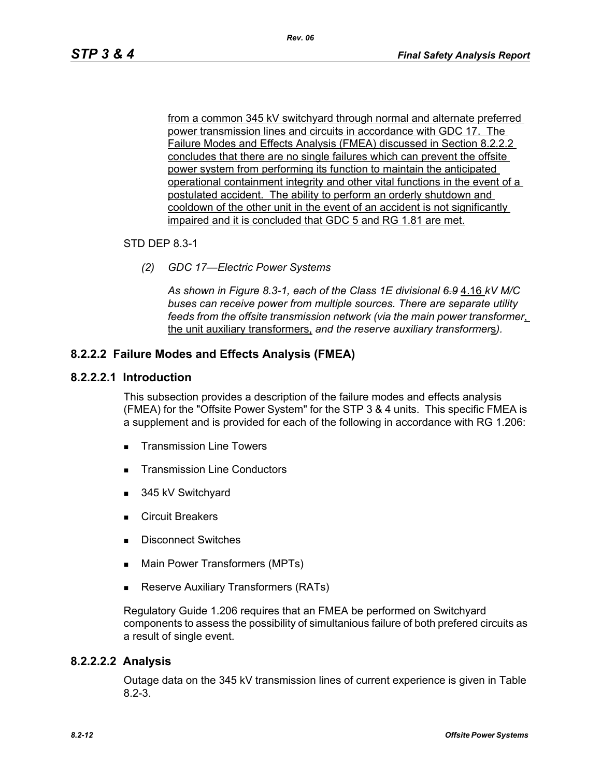from a common 345 kV switchyard through normal and alternate preferred power transmission lines and circuits in accordance with GDC 17. The Failure Modes and Effects Analysis (FMEA) discussed in Section 8.2.2.2 concludes that there are no single failures which can prevent the offsite power system from performing its function to maintain the anticipated operational containment integrity and other vital functions in the event of a postulated accident. The ability to perform an orderly shutdown and cooldown of the other unit in the event of an accident is not significantly impaired and it is concluded that GDC 5 and RG 1.81 are met.

#### STD DEP 8.3-1

*(2) GDC 17—Electric Power Systems*

*As shown in Figure 8.3-1, each of the Class 1E divisional 6.9* 4.16 *kV M/C buses can receive power from multiple sources. There are separate utility feeds from the offsite transmission network (via the main power transformer*, the unit auxiliary transformers, *and the reserve auxiliary transformer*s*).*

### **8.2.2.2 Failure Modes and Effects Analysis (FMEA)**

#### **8.2.2.2.1 Introduction**

This subsection provides a description of the failure modes and effects analysis (FMEA) for the "Offsite Power System" for the STP 3 & 4 units. This specific FMEA is a supplement and is provided for each of the following in accordance with RG 1.206:

- **Transmission Line Towers**
- Transmission Line Conductors
- 345 kV Switchyard
- **Exercuit Breakers**
- **Disconnect Switches**
- **Main Power Transformers (MPTs)**
- **Reserve Auxiliary Transformers (RATs)**

Regulatory Guide 1.206 requires that an FMEA be performed on Switchyard components to assess the possibility of simultanious failure of both prefered circuits as a result of single event.

### **8.2.2.2.2 Analysis**

Outage data on the 345 kV transmission lines of current experience is given in Table 8.2-3.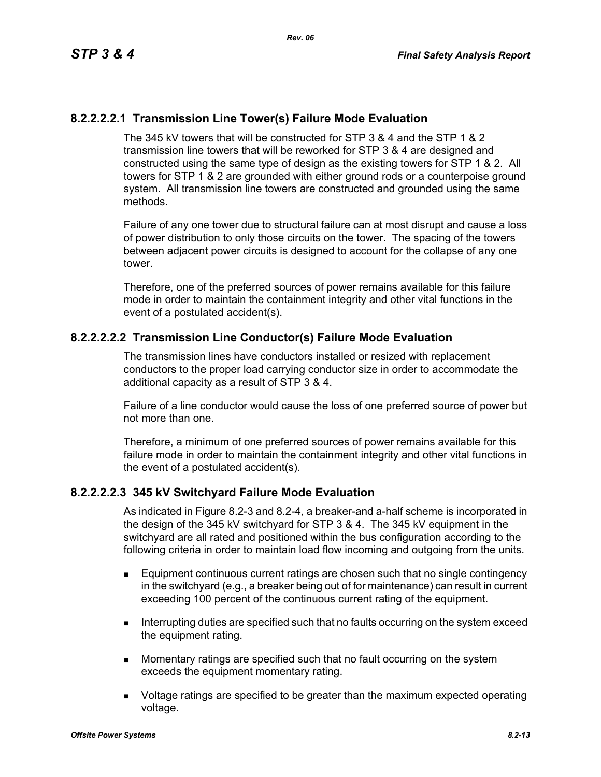## **8.2.2.2.2.1 Transmission Line Tower(s) Failure Mode Evaluation**

The 345 kV towers that will be constructed for STP 3 & 4 and the STP 1 & 2 transmission line towers that will be reworked for STP 3 & 4 are designed and constructed using the same type of design as the existing towers for STP 1 & 2. All towers for STP 1 & 2 are grounded with either ground rods or a counterpoise ground system. All transmission line towers are constructed and grounded using the same methods.

Failure of any one tower due to structural failure can at most disrupt and cause a loss of power distribution to only those circuits on the tower. The spacing of the towers between adjacent power circuits is designed to account for the collapse of any one tower.

Therefore, one of the preferred sources of power remains available for this failure mode in order to maintain the containment integrity and other vital functions in the event of a postulated accident(s).

### **8.2.2.2.2.2 Transmission Line Conductor(s) Failure Mode Evaluation**

The transmission lines have conductors installed or resized with replacement conductors to the proper load carrying conductor size in order to accommodate the additional capacity as a result of STP 3 & 4.

Failure of a line conductor would cause the loss of one preferred source of power but not more than one.

Therefore, a minimum of one preferred sources of power remains available for this failure mode in order to maintain the containment integrity and other vital functions in the event of a postulated accident(s).

### **8.2.2.2.2.3 345 kV Switchyard Failure Mode Evaluation**

As indicated in Figure 8.2-3 and 8.2-4, a breaker-and a-half scheme is incorporated in the design of the 345 kV switchyard for STP 3 & 4. The 345 kV equipment in the switchyard are all rated and positioned within the bus configuration according to the following criteria in order to maintain load flow incoming and outgoing from the units.

- Equipment continuous current ratings are chosen such that no single contingency in the switchyard (e.g., a breaker being out of for maintenance) can result in current exceeding 100 percent of the continuous current rating of the equipment.
- **Interrupting duties are specified such that no faults occurring on the system exceed** the equipment rating.
- **Momentary ratings are specified such that no fault occurring on the system** exceeds the equipment momentary rating.
- **DED** Voltage ratings are specified to be greater than the maximum expected operating voltage.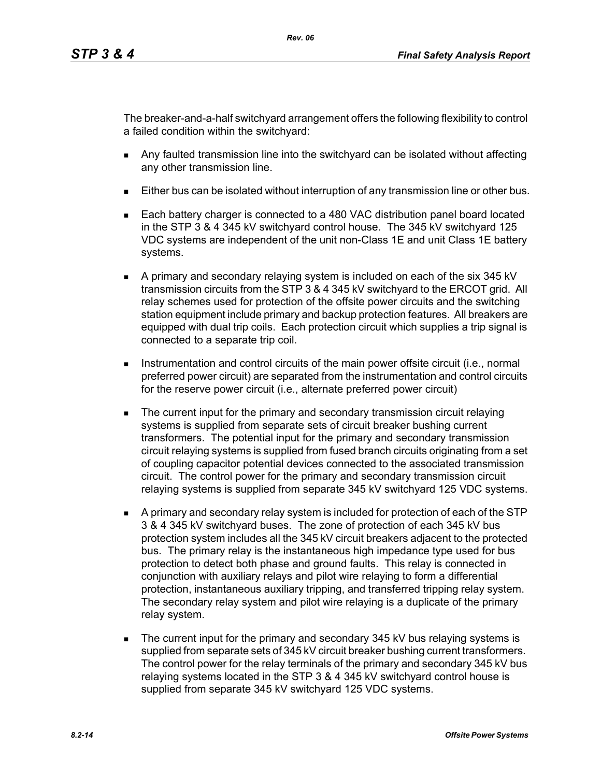The breaker-and-a-half switchyard arrangement offers the following flexibility to control a failed condition within the switchyard:

- Any faulted transmission line into the switchyard can be isolated without affecting any other transmission line.
- Either bus can be isolated without interruption of any transmission line or other bus.
- Each battery charger is connected to a 480 VAC distribution panel board located in the STP 3 & 4 345 kV switchyard control house. The 345 kV switchyard 125 VDC systems are independent of the unit non-Class 1E and unit Class 1E battery systems.
- A primary and secondary relaying system is included on each of the six 345 kV transmission circuits from the STP 3 & 4 345 kV switchyard to the ERCOT grid. All relay schemes used for protection of the offsite power circuits and the switching station equipment include primary and backup protection features. All breakers are equipped with dual trip coils. Each protection circuit which supplies a trip signal is connected to a separate trip coil.
- **Instrumentation and control circuits of the main power offsite circuit (i.e., normal** preferred power circuit) are separated from the instrumentation and control circuits for the reserve power circuit (i.e., alternate preferred power circuit)
- **The current input for the primary and secondary transmission circuit relaying** systems is supplied from separate sets of circuit breaker bushing current transformers. The potential input for the primary and secondary transmission circuit relaying systems is supplied from fused branch circuits originating from a set of coupling capacitor potential devices connected to the associated transmission circuit. The control power for the primary and secondary transmission circuit relaying systems is supplied from separate 345 kV switchyard 125 VDC systems.
- A primary and secondary relay system is included for protection of each of the STP 3 & 4 345 kV switchyard buses. The zone of protection of each 345 kV bus protection system includes all the 345 kV circuit breakers adjacent to the protected bus. The primary relay is the instantaneous high impedance type used for bus protection to detect both phase and ground faults. This relay is connected in conjunction with auxiliary relays and pilot wire relaying to form a differential protection, instantaneous auxiliary tripping, and transferred tripping relay system. The secondary relay system and pilot wire relaying is a duplicate of the primary relay system.
- The current input for the primary and secondary 345 kV bus relaying systems is supplied from separate sets of 345 kV circuit breaker bushing current transformers. The control power for the relay terminals of the primary and secondary 345 kV bus relaying systems located in the STP 3 & 4 345 kV switchyard control house is supplied from separate 345 kV switchyard 125 VDC systems.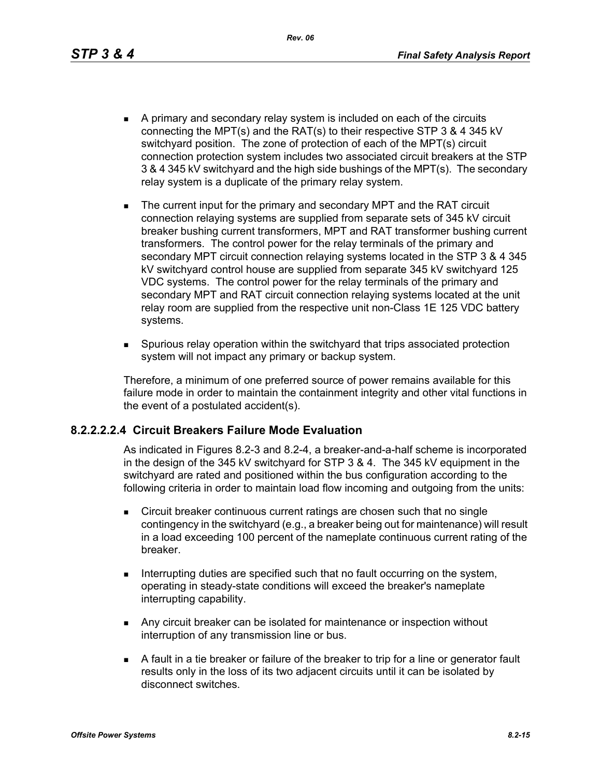*Rev. 06*

- A primary and secondary relay system is included on each of the circuits connecting the MPT(s) and the RAT(s) to their respective STP 3 & 4 345 kV switchyard position. The zone of protection of each of the MPT(s) circuit connection protection system includes two associated circuit breakers at the STP 3 & 4 345 kV switchyard and the high side bushings of the MPT(s). The secondary relay system is a duplicate of the primary relay system.
- The current input for the primary and secondary MPT and the RAT circuit connection relaying systems are supplied from separate sets of 345 kV circuit breaker bushing current transformers, MPT and RAT transformer bushing current transformers. The control power for the relay terminals of the primary and secondary MPT circuit connection relaying systems located in the STP 3 & 4 345 kV switchyard control house are supplied from separate 345 kV switchyard 125 VDC systems. The control power for the relay terminals of the primary and secondary MPT and RAT circuit connection relaying systems located at the unit relay room are supplied from the respective unit non-Class 1E 125 VDC battery systems.
- Spurious relay operation within the switchyard that trips associated protection system will not impact any primary or backup system.

Therefore, a minimum of one preferred source of power remains available for this failure mode in order to maintain the containment integrity and other vital functions in the event of a postulated accident(s).

### **8.2.2.2.2.4 Circuit Breakers Failure Mode Evaluation**

As indicated in Figures 8.2-3 and 8.2-4, a breaker-and-a-half scheme is incorporated in the design of the 345 kV switchyard for STP 3 & 4. The 345 kV equipment in the switchyard are rated and positioned within the bus configuration according to the following criteria in order to maintain load flow incoming and outgoing from the units:

- **EXECT** Circuit breaker continuous current ratings are chosen such that no single contingency in the switchyard (e.g., a breaker being out for maintenance) will result in a load exceeding 100 percent of the nameplate continuous current rating of the breaker.
- Interrupting duties are specified such that no fault occurring on the system, operating in steady-state conditions will exceed the breaker's nameplate interrupting capability.
- **Any circuit breaker can be isolated for maintenance or inspection without** interruption of any transmission line or bus.
- A fault in a tie breaker or failure of the breaker to trip for a line or generator fault results only in the loss of its two adjacent circuits until it can be isolated by disconnect switches.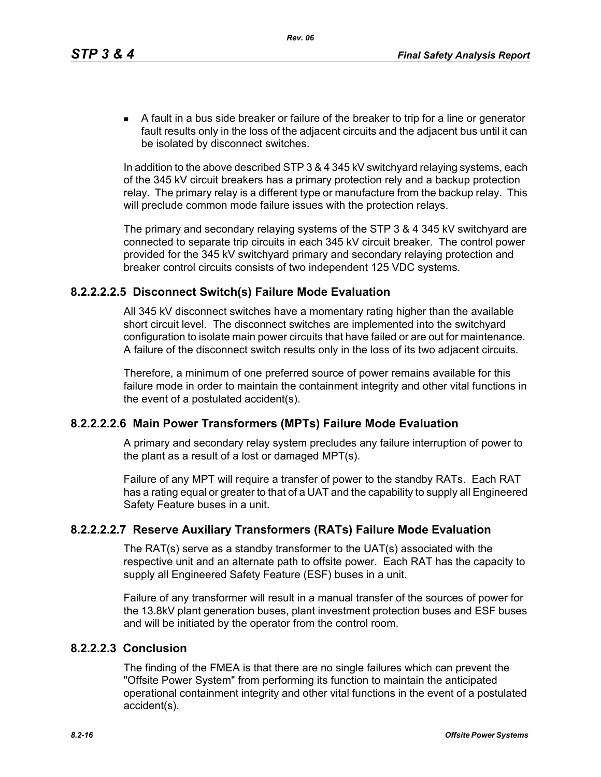A fault in a bus side breaker or failure of the breaker to trip for a line or generator fault results only in the loss of the adjacent circuits and the adjacent bus until it can be isolated by disconnect switches.

In addition to the above described STP 3 & 4 345 kV switchyard relaying systems, each of the 345 kV circuit breakers has a primary protection rely and a backup protection relay. The primary relay is a different type or manufacture from the backup relay. This will preclude common mode failure issues with the protection relays.

The primary and secondary relaying systems of the STP 3 & 4 345 kV switchyard are connected to separate trip circuits in each 345 kV circuit breaker. The control power provided for the 345 kV switchyard primary and secondary relaying protection and breaker control circuits consists of two independent 125 VDC systems.

### **8.2.2.2.2.5 Disconnect Switch(s) Failure Mode Evaluation**

All 345 kV disconnect switches have a momentary rating higher than the available short circuit level. The disconnect switches are implemented into the switchyard configuration to isolate main power circuits that have failed or are out for maintenance. A failure of the disconnect switch results only in the loss of its two adjacent circuits.

Therefore, a minimum of one preferred source of power remains available for this failure mode in order to maintain the containment integrity and other vital functions in the event of a postulated accident(s).

## **8.2.2.2.2.6 Main Power Transformers (MPTs) Failure Mode Evaluation**

A primary and secondary relay system precludes any failure interruption of power to the plant as a result of a lost or damaged MPT(s).

Failure of any MPT will require a transfer of power to the standby RATs. Each RAT has a rating equal or greater to that of a UAT and the capability to supply all Engineered Safety Feature buses in a unit.

## **8.2.2.2.2.7 Reserve Auxiliary Transformers (RATs) Failure Mode Evaluation**

The RAT(s) serve as a standby transformer to the UAT(s) associated with the respective unit and an alternate path to offsite power. Each RAT has the capacity to supply all Engineered Safety Feature (ESF) buses in a unit.

Failure of any transformer will result in a manual transfer of the sources of power for the 13.8kV plant generation buses, plant investment protection buses and ESF buses and will be initiated by the operator from the control room.

### **8.2.2.2.3 Conclusion**

The finding of the FMEA is that there are no single failures which can prevent the "Offsite Power System" from performing its function to maintain the anticipated operational containment integrity and other vital functions in the event of a postulated accident(s).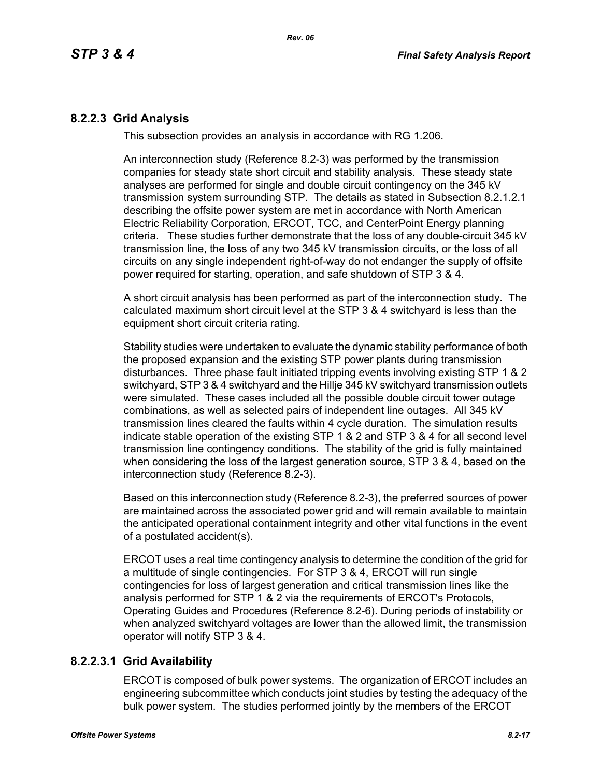## **8.2.2.3 Grid Analysis**

This subsection provides an analysis in accordance with RG 1.206.

An interconnection study (Reference 8.2-3) was performed by the transmission companies for steady state short circuit and stability analysis. These steady state analyses are performed for single and double circuit contingency on the 345 kV transmission system surrounding STP. The details as stated in Subsection 8.2.1.2.1 describing the offsite power system are met in accordance with North American Electric Reliability Corporation, ERCOT, TCC, and CenterPoint Energy planning criteria. These studies further demonstrate that the loss of any double-circuit 345 kV transmission line, the loss of any two 345 kV transmission circuits, or the loss of all circuits on any single independent right-of-way do not endanger the supply of offsite power required for starting, operation, and safe shutdown of STP 3 & 4.

A short circuit analysis has been performed as part of the interconnection study. The calculated maximum short circuit level at the STP 3 & 4 switchyard is less than the equipment short circuit criteria rating.

Stability studies were undertaken to evaluate the dynamic stability performance of both the proposed expansion and the existing STP power plants during transmission disturbances. Three phase fault initiated tripping events involving existing STP 1 & 2 switchyard, STP 3 & 4 switchyard and the Hillje 345 kV switchyard transmission outlets were simulated. These cases included all the possible double circuit tower outage combinations, as well as selected pairs of independent line outages. All 345 kV transmission lines cleared the faults within 4 cycle duration. The simulation results indicate stable operation of the existing STP 1 & 2 and STP 3 & 4 for all second level transmission line contingency conditions. The stability of the grid is fully maintained when considering the loss of the largest generation source, STP 3 & 4, based on the interconnection study (Reference 8.2-3).

Based on this interconnection study (Reference 8.2-3), the preferred sources of power are maintained across the associated power grid and will remain available to maintain the anticipated operational containment integrity and other vital functions in the event of a postulated accident(s).

ERCOT uses a real time contingency analysis to determine the condition of the grid for a multitude of single contingencies. For STP 3 & 4, ERCOT will run single contingencies for loss of largest generation and critical transmission lines like the analysis performed for STP 1 & 2 via the requirements of ERCOT's Protocols, Operating Guides and Procedures (Reference 8.2-6). During periods of instability or when analyzed switchyard voltages are lower than the allowed limit, the transmission operator will notify STP 3 & 4.

## **8.2.2.3.1 Grid Availability**

ERCOT is composed of bulk power systems. The organization of ERCOT includes an engineering subcommittee which conducts joint studies by testing the adequacy of the bulk power system. The studies performed jointly by the members of the ERCOT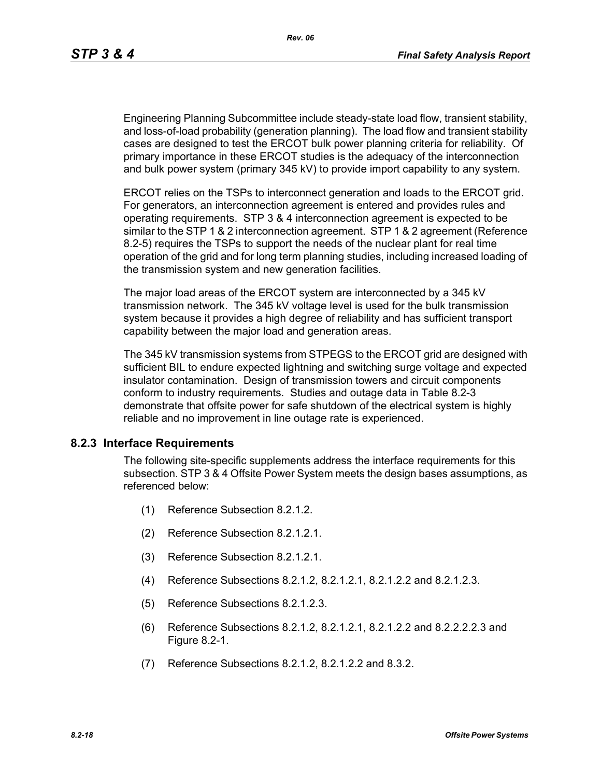Engineering Planning Subcommittee include steady-state load flow, transient stability, and loss-of-load probability (generation planning). The load flow and transient stability cases are designed to test the ERCOT bulk power planning criteria for reliability. Of primary importance in these ERCOT studies is the adequacy of the interconnection and bulk power system (primary 345 kV) to provide import capability to any system.

ERCOT relies on the TSPs to interconnect generation and loads to the ERCOT grid. For generators, an interconnection agreement is entered and provides rules and operating requirements. STP 3 & 4 interconnection agreement is expected to be similar to the STP 1 & 2 interconnection agreement. STP 1 & 2 agreement (Reference 8.2-5) requires the TSPs to support the needs of the nuclear plant for real time operation of the grid and for long term planning studies, including increased loading of the transmission system and new generation facilities.

The major load areas of the ERCOT system are interconnected by a 345 kV transmission network. The 345 kV voltage level is used for the bulk transmission system because it provides a high degree of reliability and has sufficient transport capability between the major load and generation areas.

The 345 kV transmission systems from STPEGS to the ERCOT grid are designed with sufficient BIL to endure expected lightning and switching surge voltage and expected insulator contamination. Design of transmission towers and circuit components conform to industry requirements. Studies and outage data in Table 8.2-3 demonstrate that offsite power for safe shutdown of the electrical system is highly reliable and no improvement in line outage rate is experienced.

#### **8.2.3 Interface Requirements**

The following site-specific supplements address the interface requirements for this subsection. STP 3 & 4 Offsite Power System meets the design bases assumptions, as referenced below:

- (1) Reference Subsection 8.2.1.2.
- (2) Reference Subsection 8.2.1.2.1.
- (3) Reference Subsection 8.2.1.2.1.
- (4) Reference Subsections 8.2.1.2, 8.2.1.2.1, 8.2.1.2.2 and 8.2.1.2.3.
- (5) Reference Subsections 8.2.1.2.3.
- (6) Reference Subsections 8.2.1.2, 8.2.1.2.1, 8.2.1.2.2 and 8.2.2.2.2.3 and Figure 8.2-1.
- (7) Reference Subsections 8.2.1.2, 8.2.1.2.2 and 8.3.2.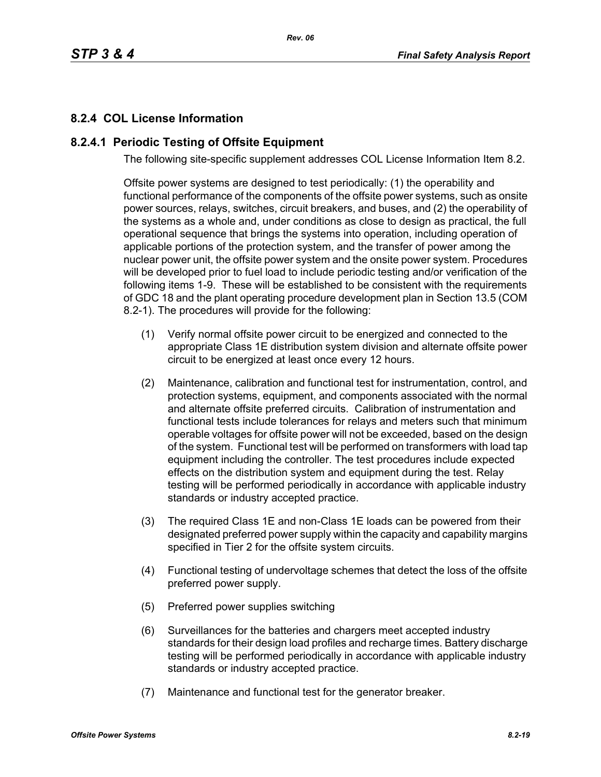# **8.2.4 COL License Information**

## **8.2.4.1 Periodic Testing of Offsite Equipment**

The following site-specific supplement addresses COL License Information Item 8.2.

Offsite power systems are designed to test periodically: (1) the operability and functional performance of the components of the offsite power systems, such as onsite power sources, relays, switches, circuit breakers, and buses, and (2) the operability of the systems as a whole and, under conditions as close to design as practical, the full operational sequence that brings the systems into operation, including operation of applicable portions of the protection system, and the transfer of power among the nuclear power unit, the offsite power system and the onsite power system. Procedures will be developed prior to fuel load to include periodic testing and/or verification of the following items 1-9. These will be established to be consistent with the requirements of GDC 18 and the plant operating procedure development plan in Section 13.5 (COM 8.2-1). The procedures will provide for the following:

- (1) Verify normal offsite power circuit to be energized and connected to the appropriate Class 1E distribution system division and alternate offsite power circuit to be energized at least once every 12 hours.
- (2) Maintenance, calibration and functional test for instrumentation, control, and protection systems, equipment, and components associated with the normal and alternate offsite preferred circuits. Calibration of instrumentation and functional tests include tolerances for relays and meters such that minimum operable voltages for offsite power will not be exceeded, based on the design of the system. Functional test will be performed on transformers with load tap equipment including the controller. The test procedures include expected effects on the distribution system and equipment during the test. Relay testing will be performed periodically in accordance with applicable industry standards or industry accepted practice.
- (3) The required Class 1E and non-Class 1E loads can be powered from their designated preferred power supply within the capacity and capability margins specified in Tier 2 for the offsite system circuits.
- (4) Functional testing of undervoltage schemes that detect the loss of the offsite preferred power supply.
- (5) Preferred power supplies switching
- (6) Surveillances for the batteries and chargers meet accepted industry standards for their design load profiles and recharge times. Battery discharge testing will be performed periodically in accordance with applicable industry standards or industry accepted practice.
- (7) Maintenance and functional test for the generator breaker.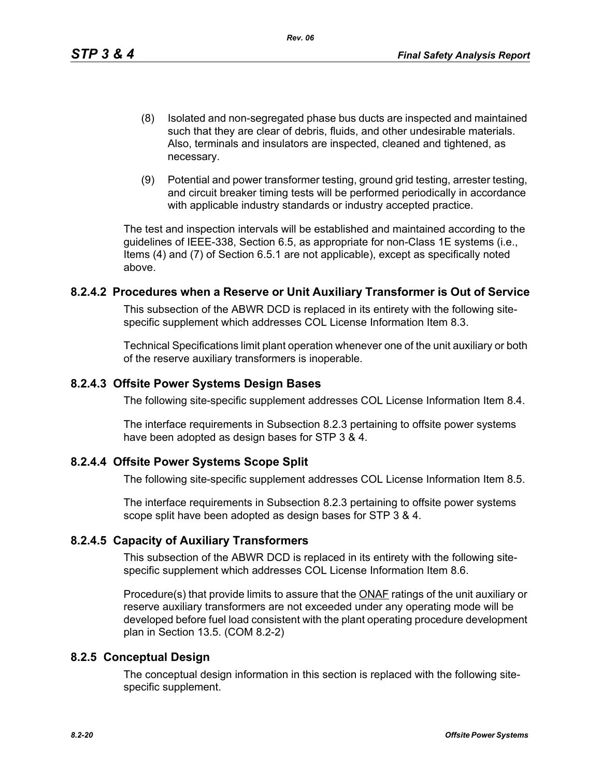- (8) Isolated and non-segregated phase bus ducts are inspected and maintained such that they are clear of debris, fluids, and other undesirable materials. Also, terminals and insulators are inspected, cleaned and tightened, as necessary.
- (9) Potential and power transformer testing, ground grid testing, arrester testing, and circuit breaker timing tests will be performed periodically in accordance with applicable industry standards or industry accepted practice.

The test and inspection intervals will be established and maintained according to the guidelines of IEEE-338, Section 6.5, as appropriate for non-Class 1E systems (i.e., Items (4) and (7) of Section 6.5.1 are not applicable), except as specifically noted above.

### **8.2.4.2 Procedures when a Reserve or Unit Auxiliary Transformer is Out of Service**

This subsection of the ABWR DCD is replaced in its entirety with the following sitespecific supplement which addresses COL License Information Item 8.3.

Technical Specifications limit plant operation whenever one of the unit auxiliary or both of the reserve auxiliary transformers is inoperable.

## **8.2.4.3 Offsite Power Systems Design Bases**

The following site-specific supplement addresses COL License Information Item 8.4.

The interface requirements in Subsection 8.2.3 pertaining to offsite power systems have been adopted as design bases for STP 3 & 4.

## **8.2.4.4 Offsite Power Systems Scope Split**

The following site-specific supplement addresses COL License Information Item 8.5.

The interface requirements in Subsection 8.2.3 pertaining to offsite power systems scope split have been adopted as design bases for STP 3 & 4.

## **8.2.4.5 Capacity of Auxiliary Transformers**

This subsection of the ABWR DCD is replaced in its entirety with the following sitespecific supplement which addresses COL License Information Item 8.6.

Procedure(s) that provide limits to assure that the **ONAF** ratings of the unit auxiliary or reserve auxiliary transformers are not exceeded under any operating mode will be developed before fuel load consistent with the plant operating procedure development plan in Section 13.5. (COM 8.2-2)

## **8.2.5 Conceptual Design**

The conceptual design information in this section is replaced with the following sitespecific supplement.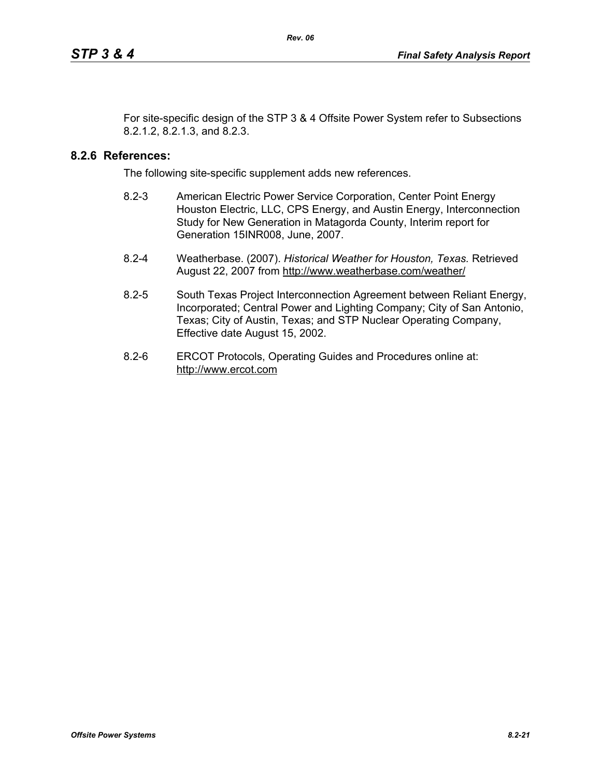For site-specific design of the STP 3 & 4 Offsite Power System refer to Subsections 8.2.1.2, 8.2.1.3, and 8.2.3.

### **8.2.6 References:**

The following site-specific supplement adds new references.

- 8.2-3 American Electric Power Service Corporation, Center Point Energy Houston Electric, LLC, CPS Energy, and Austin Energy, Interconnection Study for New Generation in Matagorda County, Interim report for Generation 15INR008, June, 2007.
- 8.2-4 Weatherbase. (2007). *Historical Weather for Houston, Texas.* Retrieved August 22, 2007 from http://www.weatherbase.com/weather/
- 8.2-5 South Texas Project Interconnection Agreement between Reliant Energy, Incorporated; Central Power and Lighting Company; City of San Antonio, Texas; City of Austin, Texas; and STP Nuclear Operating Company, Effective date August 15, 2002.
- 8.2-6 ERCOT Protocols, Operating Guides and Procedures online at: http://www.ercot.com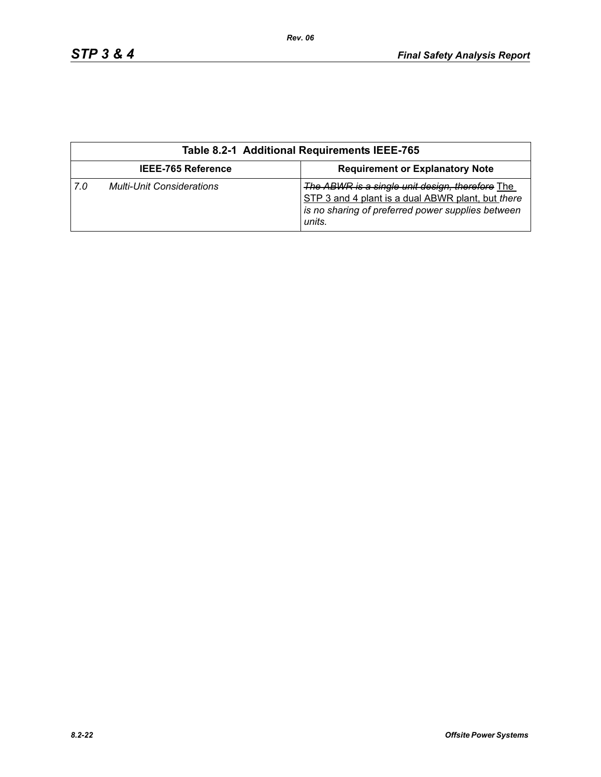|                           | Table 8.2-1 Additional Requirements IEEE-765 |                                                                                                                                                                     |  |  |  |  |
|---------------------------|----------------------------------------------|---------------------------------------------------------------------------------------------------------------------------------------------------------------------|--|--|--|--|
| <b>IEEE-765 Reference</b> |                                              | <b>Requirement or Explanatory Note</b>                                                                                                                              |  |  |  |  |
| 7.0                       | <b>Multi-Unit Considerations</b>             | The ABWR is a single unit design, therefore The<br>STP 3 and 4 plant is a dual ABWR plant, but there<br>is no sharing of preferred power supplies between<br>units. |  |  |  |  |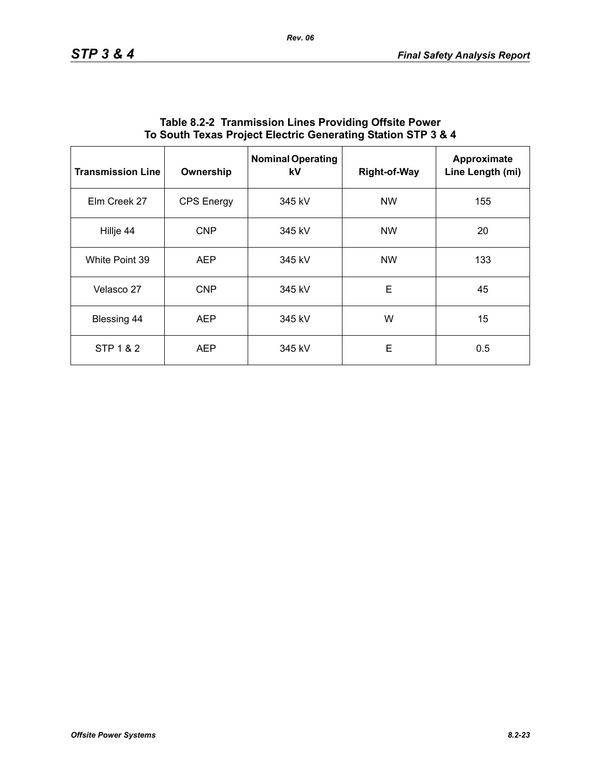| <b>Transmission Line</b> | Ownership         | <b>Nominal Operating</b><br>kV | <b>Right-of-Way</b> | Approximate<br>Line Length (mi) |
|--------------------------|-------------------|--------------------------------|---------------------|---------------------------------|
| Elm Creek 27             | <b>CPS Energy</b> | 345 kV                         | <b>NW</b>           | 155                             |
| Hillje 44                | <b>CNP</b>        | 345 kV                         | <b>NW</b>           | 20                              |
| White Point 39           | <b>AEP</b>        | 345 kV                         | <b>NW</b>           | 133                             |
| Velasco 27               | <b>CNP</b>        | 345 kV                         | E                   | 45                              |
| Blessing 44              | <b>AEP</b>        | 345 kV                         | W                   | 15                              |
| STP 1 & 2                | <b>AEP</b>        | 345 kV                         | E                   | 0.5                             |

### **Table 8.2-2 Tranmission Lines Providing Offsite Power To South Texas Project Electric Generating Station STP 3 & 4**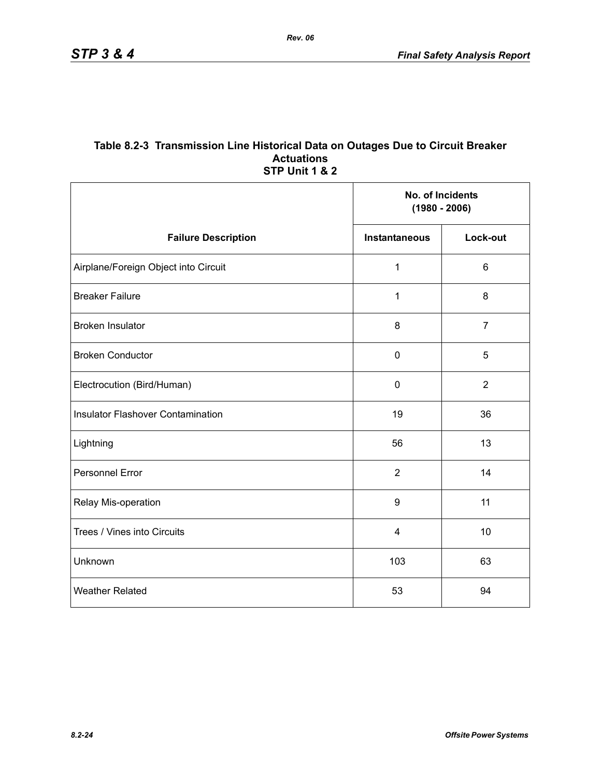#### **Table 8.2-3 Transmission Line Historical Data on Outages Due to Circuit Breaker Actuations STP Unit 1 & 2**

*Rev. 06*

|                                          | No. of Incidents<br>$(1980 - 2006)$ |                |
|------------------------------------------|-------------------------------------|----------------|
| <b>Failure Description</b>               | <b>Instantaneous</b>                | Lock-out       |
| Airplane/Foreign Object into Circuit     | 1                                   | $6\phantom{1}$ |
| <b>Breaker Failure</b>                   | 1                                   | 8              |
| <b>Broken Insulator</b>                  | 8                                   | $\overline{7}$ |
| <b>Broken Conductor</b>                  | $\mathbf 0$                         | 5              |
| Electrocution (Bird/Human)               | $\pmb{0}$                           | $\overline{2}$ |
| <b>Insulator Flashover Contamination</b> | 19                                  | 36             |
| Lightning                                | 56                                  | 13             |
| Personnel Error                          | $\overline{2}$                      | 14             |
| Relay Mis-operation                      | $\boldsymbol{9}$                    | 11             |
| Trees / Vines into Circuits              | 4                                   | 10             |
| Unknown                                  | 103                                 | 63             |
| <b>Weather Related</b>                   | 53                                  | 94             |